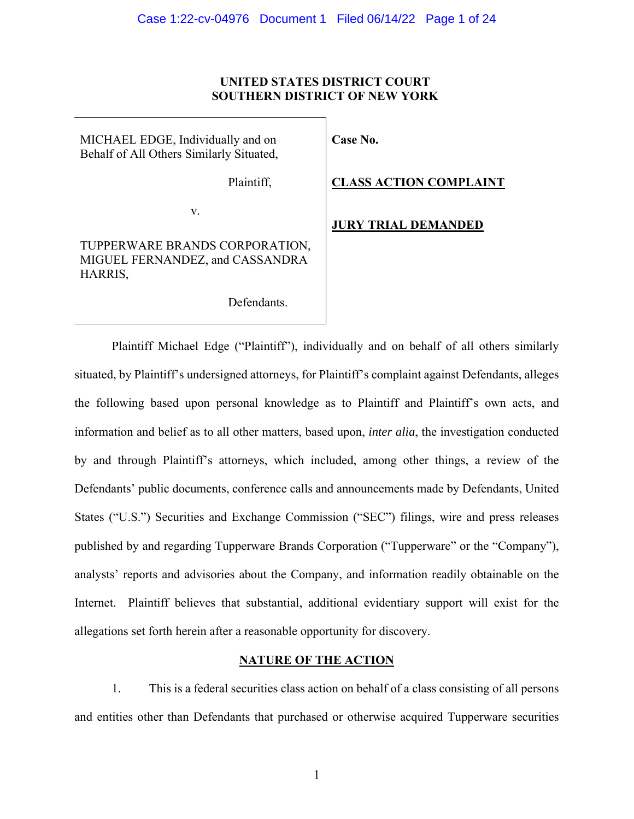# **UNITED STATES DISTRICT COURT SOUTHERN DISTRICT OF NEW YORK**

MICHAEL EDGE, Individually and on Behalf of All Others Similarly Situated,

Plaintiff,

v.

# TUPPERWARE BRANDS CORPORATION, MIGUEL FERNANDEZ, and CASSANDRA HARRIS,

Defendants.

# **Case No.**

**CLASS ACTION COMPLAINT** 

**JURY TRIAL DEMANDED**

Plaintiff Michael Edge ("Plaintiff"), individually and on behalf of all others similarly situated, by Plaintiff's undersigned attorneys, for Plaintiff's complaint against Defendants, alleges the following based upon personal knowledge as to Plaintiff and Plaintiff's own acts, and information and belief as to all other matters, based upon, *inter alia*, the investigation conducted by and through Plaintiff's attorneys, which included, among other things, a review of the Defendants' public documents, conference calls and announcements made by Defendants, United States ("U.S.") Securities and Exchange Commission ("SEC") filings, wire and press releases published by and regarding Tupperware Brands Corporation ("Tupperware" or the "Company"), analysts' reports and advisories about the Company, and information readily obtainable on the Internet. Plaintiff believes that substantial, additional evidentiary support will exist for the allegations set forth herein after a reasonable opportunity for discovery.

## **NATURE OF THE ACTION**

1. This is a federal securities class action on behalf of a class consisting of all persons and entities other than Defendants that purchased or otherwise acquired Tupperware securities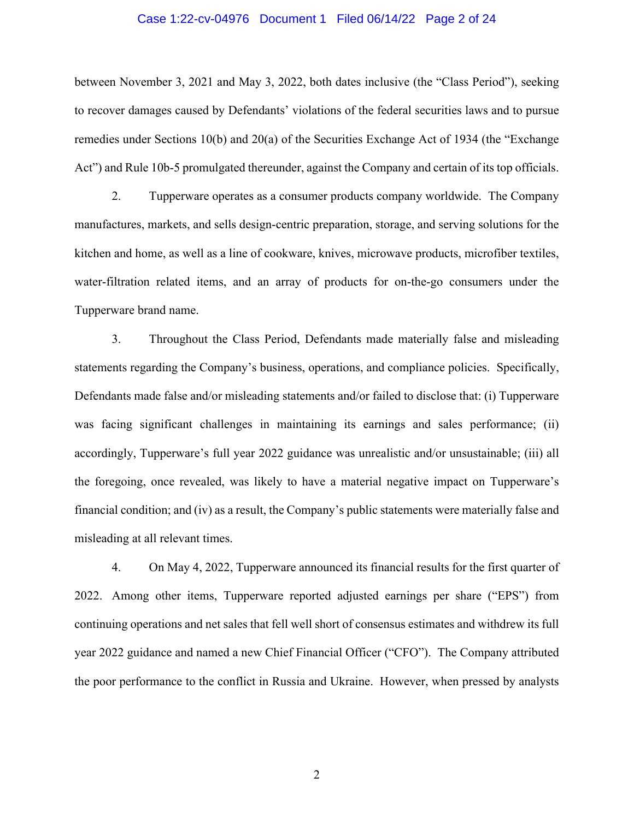#### Case 1:22-cv-04976 Document 1 Filed 06/14/22 Page 2 of 24

between November 3, 2021 and May 3, 2022, both dates inclusive (the "Class Period"), seeking to recover damages caused by Defendants' violations of the federal securities laws and to pursue remedies under Sections 10(b) and 20(a) of the Securities Exchange Act of 1934 (the "Exchange Act") and Rule 10b-5 promulgated thereunder, against the Company and certain of its top officials.

2. Tupperware operates as a consumer products company worldwide. The Company manufactures, markets, and sells design-centric preparation, storage, and serving solutions for the kitchen and home, as well as a line of cookware, knives, microwave products, microfiber textiles, water-filtration related items, and an array of products for on-the-go consumers under the Tupperware brand name.

3. Throughout the Class Period, Defendants made materially false and misleading statements regarding the Company's business, operations, and compliance policies. Specifically, Defendants made false and/or misleading statements and/or failed to disclose that: (i) Tupperware was facing significant challenges in maintaining its earnings and sales performance; (ii) accordingly, Tupperware's full year 2022 guidance was unrealistic and/or unsustainable; (iii) all the foregoing, once revealed, was likely to have a material negative impact on Tupperware's financial condition; and (iv) as a result, the Company's public statements were materially false and misleading at all relevant times.

4. On May 4, 2022, Tupperware announced its financial results for the first quarter of 2022. Among other items, Tupperware reported adjusted earnings per share ("EPS") from continuing operations and net sales that fell well short of consensus estimates and withdrew its full year 2022 guidance and named a new Chief Financial Officer ("CFO"). The Company attributed the poor performance to the conflict in Russia and Ukraine. However, when pressed by analysts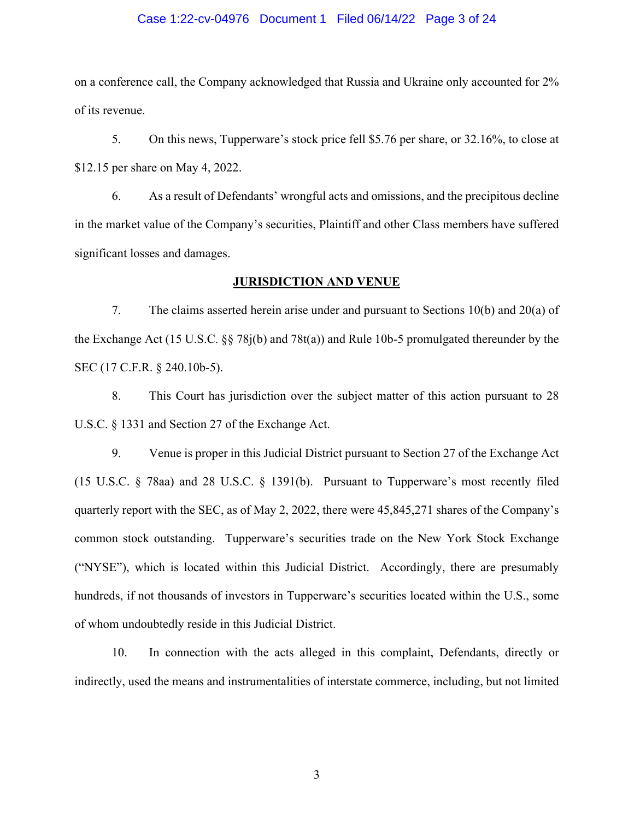#### Case 1:22-cv-04976 Document 1 Filed 06/14/22 Page 3 of 24

on a conference call, the Company acknowledged that Russia and Ukraine only accounted for 2% of its revenue.

5. On this news, Tupperware's stock price fell \$5.76 per share, or 32.16%, to close at \$12.15 per share on May 4, 2022.

6. As a result of Defendants' wrongful acts and omissions, and the precipitous decline in the market value of the Company's securities, Plaintiff and other Class members have suffered significant losses and damages.

### **JURISDICTION AND VENUE**

7. The claims asserted herein arise under and pursuant to Sections 10(b) and 20(a) of the Exchange Act (15 U.S.C. §§ 78j(b) and 78t(a)) and Rule 10b-5 promulgated thereunder by the SEC (17 C.F.R. § 240.10b-5).

8. This Court has jurisdiction over the subject matter of this action pursuant to 28 U.S.C. § 1331 and Section 27 of the Exchange Act.

9. Venue is proper in this Judicial District pursuant to Section 27 of the Exchange Act (15 U.S.C. § 78aa) and 28 U.S.C. § 1391(b). Pursuant to Tupperware's most recently filed quarterly report with the SEC, as of May 2, 2022, there were 45,845,271 shares of the Company's common stock outstanding. Tupperware's securities trade on the New York Stock Exchange ("NYSE"), which is located within this Judicial District. Accordingly, there are presumably hundreds, if not thousands of investors in Tupperware's securities located within the U.S., some of whom undoubtedly reside in this Judicial District.

10. In connection with the acts alleged in this complaint, Defendants, directly or indirectly, used the means and instrumentalities of interstate commerce, including, but not limited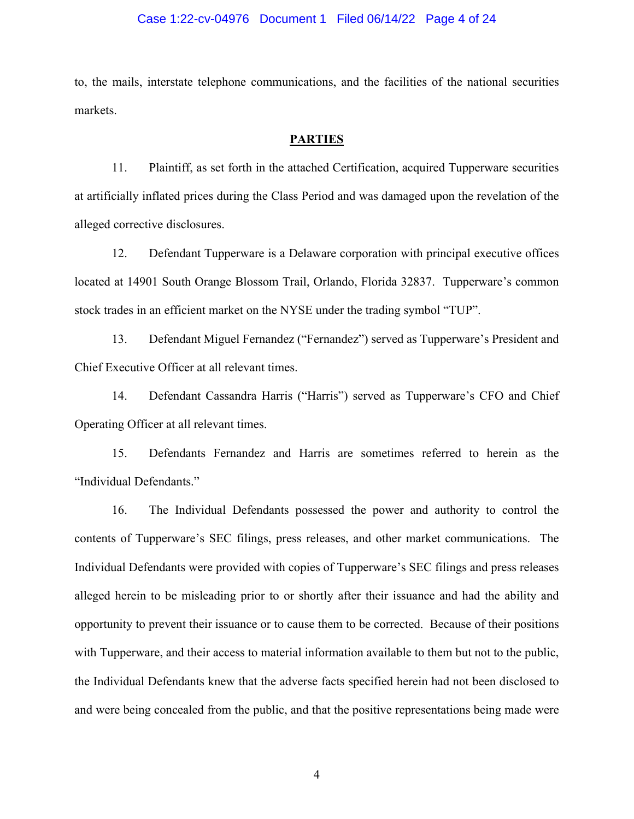#### Case 1:22-cv-04976 Document 1 Filed 06/14/22 Page 4 of 24

to, the mails, interstate telephone communications, and the facilities of the national securities markets.

## **PARTIES**

11. Plaintiff, as set forth in the attached Certification, acquired Tupperware securities at artificially inflated prices during the Class Period and was damaged upon the revelation of the alleged corrective disclosures.

12. Defendant Tupperware is a Delaware corporation with principal executive offices located at 14901 South Orange Blossom Trail, Orlando, Florida 32837. Tupperware's common stock trades in an efficient market on the NYSE under the trading symbol "TUP".

13. Defendant Miguel Fernandez ("Fernandez") served as Tupperware's President and Chief Executive Officer at all relevant times.

14. Defendant Cassandra Harris ("Harris") served as Tupperware's CFO and Chief Operating Officer at all relevant times.

15. Defendants Fernandez and Harris are sometimes referred to herein as the "Individual Defendants."

16. The Individual Defendants possessed the power and authority to control the contents of Tupperware's SEC filings, press releases, and other market communications. The Individual Defendants were provided with copies of Tupperware's SEC filings and press releases alleged herein to be misleading prior to or shortly after their issuance and had the ability and opportunity to prevent their issuance or to cause them to be corrected. Because of their positions with Tupperware, and their access to material information available to them but not to the public, the Individual Defendants knew that the adverse facts specified herein had not been disclosed to and were being concealed from the public, and that the positive representations being made were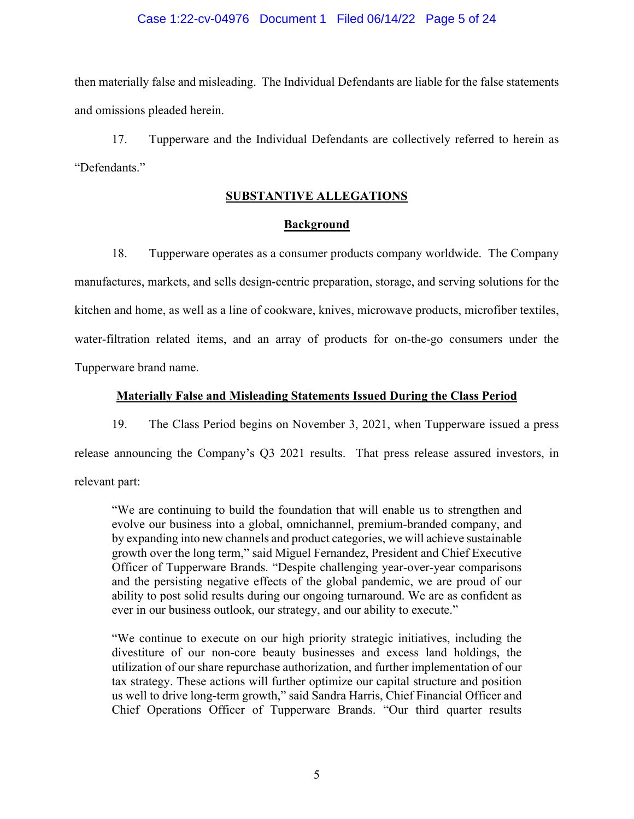### Case 1:22-cv-04976 Document 1 Filed 06/14/22 Page 5 of 24

then materially false and misleading. The Individual Defendants are liable for the false statements and omissions pleaded herein.

17. Tupperware and the Individual Defendants are collectively referred to herein as "Defendants."

# **SUBSTANTIVE ALLEGATIONS**

# **Background**

18. Tupperware operates as a consumer products company worldwide. The Company manufactures, markets, and sells design-centric preparation, storage, and serving solutions for the kitchen and home, as well as a line of cookware, knives, microwave products, microfiber textiles, water-filtration related items, and an array of products for on-the-go consumers under the Tupperware brand name.

### **Materially False and Misleading Statements Issued During the Class Period**

19. The Class Period begins on November 3, 2021, when Tupperware issued a press release announcing the Company's Q3 2021 results. That press release assured investors, in relevant part:

"We are continuing to build the foundation that will enable us to strengthen and evolve our business into a global, omnichannel, premium-branded company, and by expanding into new channels and product categories, we will achieve sustainable growth over the long term," said Miguel Fernandez, President and Chief Executive Officer of Tupperware Brands. "Despite challenging year-over-year comparisons and the persisting negative effects of the global pandemic, we are proud of our ability to post solid results during our ongoing turnaround. We are as confident as ever in our business outlook, our strategy, and our ability to execute."

"We continue to execute on our high priority strategic initiatives, including the divestiture of our non-core beauty businesses and excess land holdings, the utilization of our share repurchase authorization, and further implementation of our tax strategy. These actions will further optimize our capital structure and position us well to drive long-term growth," said Sandra Harris, Chief Financial Officer and Chief Operations Officer of Tupperware Brands. "Our third quarter results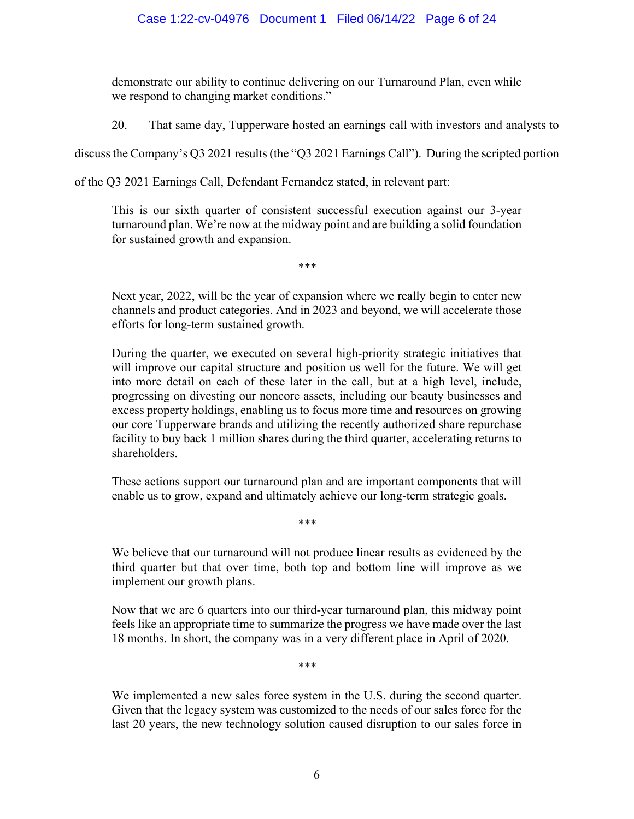demonstrate our ability to continue delivering on our Turnaround Plan, even while we respond to changing market conditions."

20. That same day, Tupperware hosted an earnings call with investors and analysts to

discuss the Company's Q3 2021 results (the "Q3 2021 Earnings Call"). During the scripted portion

of the Q3 2021 Earnings Call, Defendant Fernandez stated, in relevant part:

\*\*\*

\*\*\*

This is our sixth quarter of consistent successful execution against our 3-year turnaround plan. We're now at the midway point and are building a solid foundation for sustained growth and expansion.

Next year, 2022, will be the year of expansion where we really begin to enter new channels and product categories. And in 2023 and beyond, we will accelerate those efforts for long-term sustained growth.

During the quarter, we executed on several high-priority strategic initiatives that will improve our capital structure and position us well for the future. We will get into more detail on each of these later in the call, but at a high level, include, progressing on divesting our noncore assets, including our beauty businesses and excess property holdings, enabling us to focus more time and resources on growing our core Tupperware brands and utilizing the recently authorized share repurchase facility to buy back 1 million shares during the third quarter, accelerating returns to shareholders.

These actions support our turnaround plan and are important components that will enable us to grow, expand and ultimately achieve our long-term strategic goals.

We believe that our turnaround will not produce linear results as evidenced by the third quarter but that over time, both top and bottom line will improve as we implement our growth plans.

Now that we are 6 quarters into our third-year turnaround plan, this midway point feels like an appropriate time to summarize the progress we have made over the last 18 months. In short, the company was in a very different place in April of 2020.

\*\*\*

We implemented a new sales force system in the U.S. during the second quarter. Given that the legacy system was customized to the needs of our sales force for the last 20 years, the new technology solution caused disruption to our sales force in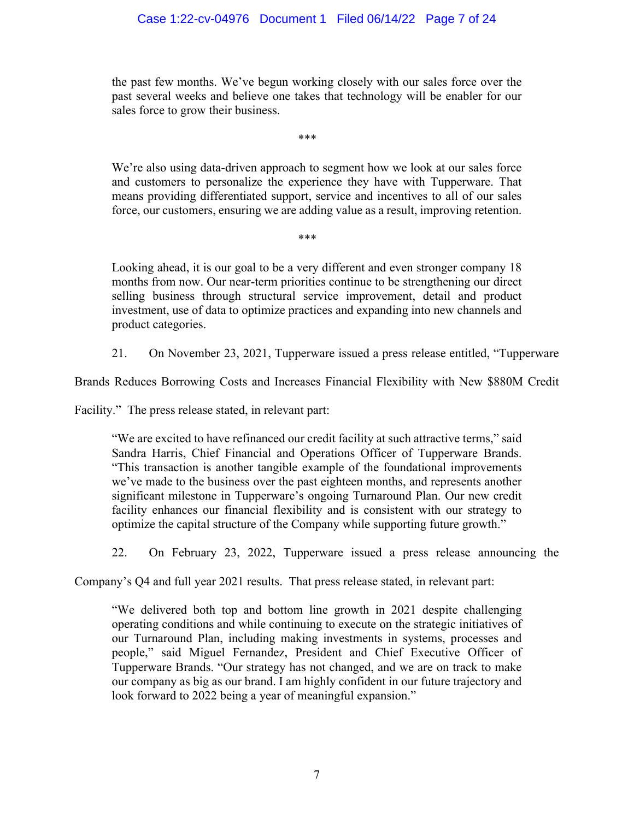# Case 1:22-cv-04976 Document 1 Filed 06/14/22 Page 7 of 24

the past few months. We've begun working closely with our sales force over the past several weeks and believe one takes that technology will be enabler for our sales force to grow their business.

\*\*\*

We're also using data-driven approach to segment how we look at our sales force and customers to personalize the experience they have with Tupperware. That means providing differentiated support, service and incentives to all of our sales force, our customers, ensuring we are adding value as a result, improving retention.

\*\*\*

Looking ahead, it is our goal to be a very different and even stronger company 18 months from now. Our near-term priorities continue to be strengthening our direct selling business through structural service improvement, detail and product investment, use of data to optimize practices and expanding into new channels and product categories.

21. On November 23, 2021, Tupperware issued a press release entitled, "Tupperware

Brands Reduces Borrowing Costs and Increases Financial Flexibility with New \$880M Credit

Facility." The press release stated, in relevant part:

"We are excited to have refinanced our credit facility at such attractive terms," said Sandra Harris, Chief Financial and Operations Officer of Tupperware Brands. "This transaction is another tangible example of the foundational improvements we've made to the business over the past eighteen months, and represents another significant milestone in Tupperware's ongoing Turnaround Plan. Our new credit facility enhances our financial flexibility and is consistent with our strategy to optimize the capital structure of the Company while supporting future growth."

22. On February 23, 2022, Tupperware issued a press release announcing the

Company's Q4 and full year 2021 results. That press release stated, in relevant part:

"We delivered both top and bottom line growth in 2021 despite challenging operating conditions and while continuing to execute on the strategic initiatives of our Turnaround Plan, including making investments in systems, processes and people," said Miguel Fernandez, President and Chief Executive Officer of Tupperware Brands. "Our strategy has not changed, and we are on track to make our company as big as our brand. I am highly confident in our future trajectory and look forward to 2022 being a year of meaningful expansion."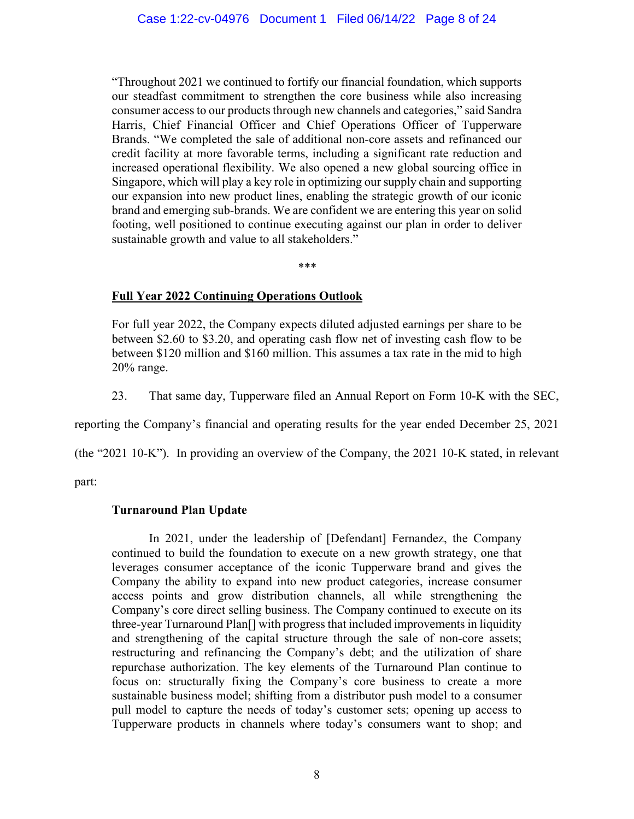"Throughout 2021 we continued to fortify our financial foundation, which supports our steadfast commitment to strengthen the core business while also increasing consumer access to our products through new channels and categories," said Sandra Harris, Chief Financial Officer and Chief Operations Officer of Tupperware Brands. "We completed the sale of additional non-core assets and refinanced our credit facility at more favorable terms, including a significant rate reduction and increased operational flexibility. We also opened a new global sourcing office in Singapore, which will play a key role in optimizing our supply chain and supporting our expansion into new product lines, enabling the strategic growth of our iconic brand and emerging sub-brands. We are confident we are entering this year on solid footing, well positioned to continue executing against our plan in order to deliver sustainable growth and value to all stakeholders."

\*\*\*

# **Full Year 2022 Continuing Operations Outlook**

For full year 2022, the Company expects diluted adjusted earnings per share to be between \$2.60 to \$3.20, and operating cash flow net of investing cash flow to be between \$120 million and \$160 million. This assumes a tax rate in the mid to high 20% range.

23. That same day, Tupperware filed an Annual Report on Form 10-K with the SEC,

reporting the Company's financial and operating results for the year ended December 25, 2021

(the "2021 10-K"). In providing an overview of the Company, the 2021 10-K stated, in relevant

part:

# **Turnaround Plan Update**

In 2021, under the leadership of [Defendant] Fernandez, the Company continued to build the foundation to execute on a new growth strategy, one that leverages consumer acceptance of the iconic Tupperware brand and gives the Company the ability to expand into new product categories, increase consumer access points and grow distribution channels, all while strengthening the Company's core direct selling business. The Company continued to execute on its three-year Turnaround Plan[] with progress that included improvements in liquidity and strengthening of the capital structure through the sale of non-core assets; restructuring and refinancing the Company's debt; and the utilization of share repurchase authorization. The key elements of the Turnaround Plan continue to focus on: structurally fixing the Company's core business to create a more sustainable business model; shifting from a distributor push model to a consumer pull model to capture the needs of today's customer sets; opening up access to Tupperware products in channels where today's consumers want to shop; and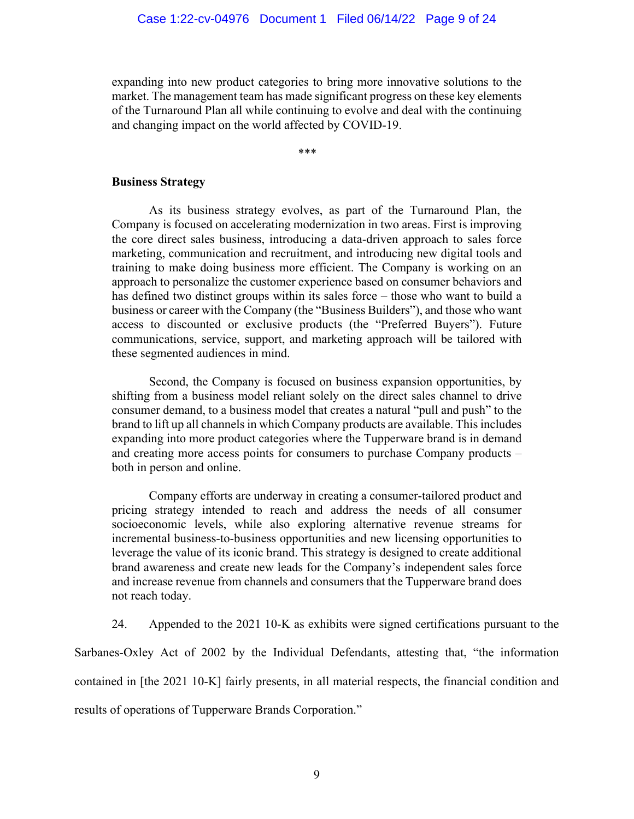expanding into new product categories to bring more innovative solutions to the market. The management team has made significant progress on these key elements of the Turnaround Plan all while continuing to evolve and deal with the continuing and changing impact on the world affected by COVID-19.

\*\*\*

#### **Business Strategy**

As its business strategy evolves, as part of the Turnaround Plan, the Company is focused on accelerating modernization in two areas. First is improving the core direct sales business, introducing a data-driven approach to sales force marketing, communication and recruitment, and introducing new digital tools and training to make doing business more efficient. The Company is working on an approach to personalize the customer experience based on consumer behaviors and has defined two distinct groups within its sales force – those who want to build a business or career with the Company (the "Business Builders"), and those who want access to discounted or exclusive products (the "Preferred Buyers"). Future communications, service, support, and marketing approach will be tailored with these segmented audiences in mind.

Second, the Company is focused on business expansion opportunities, by shifting from a business model reliant solely on the direct sales channel to drive consumer demand, to a business model that creates a natural "pull and push" to the brand to lift up all channels in which Company products are available. This includes expanding into more product categories where the Tupperware brand is in demand and creating more access points for consumers to purchase Company products – both in person and online.

Company efforts are underway in creating a consumer-tailored product and pricing strategy intended to reach and address the needs of all consumer socioeconomic levels, while also exploring alternative revenue streams for incremental business-to-business opportunities and new licensing opportunities to leverage the value of its iconic brand. This strategy is designed to create additional brand awareness and create new leads for the Company's independent sales force and increase revenue from channels and consumers that the Tupperware brand does not reach today.

24. Appended to the 2021 10-K as exhibits were signed certifications pursuant to the Sarbanes-Oxley Act of 2002 by the Individual Defendants, attesting that, "the information contained in [the 2021 10-K] fairly presents, in all material respects, the financial condition and results of operations of Tupperware Brands Corporation."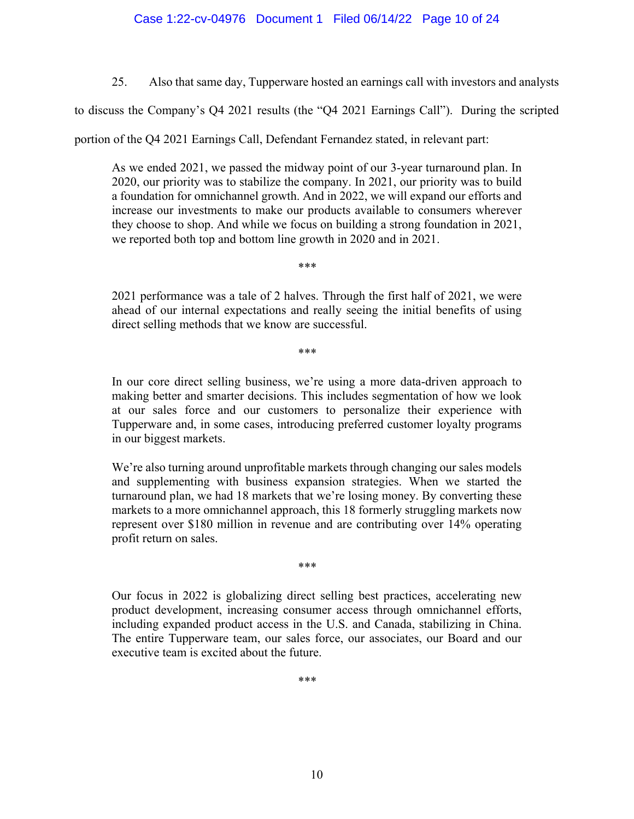25. Also that same day, Tupperware hosted an earnings call with investors and analysts

to discuss the Company's Q4 2021 results (the "Q4 2021 Earnings Call"). During the scripted

portion of the Q4 2021 Earnings Call, Defendant Fernandez stated, in relevant part:

\*\*\*

As we ended 2021, we passed the midway point of our 3-year turnaround plan. In 2020, our priority was to stabilize the company. In 2021, our priority was to build a foundation for omnichannel growth. And in 2022, we will expand our efforts and increase our investments to make our products available to consumers wherever they choose to shop. And while we focus on building a strong foundation in 2021, we reported both top and bottom line growth in 2020 and in 2021.

2021 performance was a tale of 2 halves. Through the first half of 2021, we were ahead of our internal expectations and really seeing the initial benefits of using direct selling methods that we know are successful.

\*\*\*

In our core direct selling business, we're using a more data-driven approach to making better and smarter decisions. This includes segmentation of how we look at our sales force and our customers to personalize their experience with Tupperware and, in some cases, introducing preferred customer loyalty programs in our biggest markets.

We're also turning around unprofitable markets through changing our sales models and supplementing with business expansion strategies. When we started the turnaround plan, we had 18 markets that we're losing money. By converting these markets to a more omnichannel approach, this 18 formerly struggling markets now represent over \$180 million in revenue and are contributing over 14% operating profit return on sales.

\*\*\*

Our focus in 2022 is globalizing direct selling best practices, accelerating new product development, increasing consumer access through omnichannel efforts, including expanded product access in the U.S. and Canada, stabilizing in China. The entire Tupperware team, our sales force, our associates, our Board and our executive team is excited about the future.

\*\*\*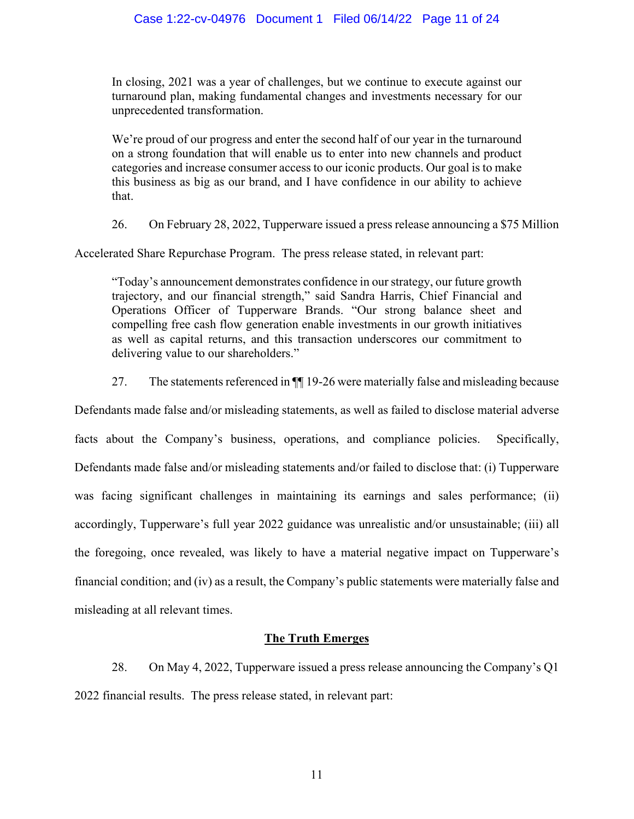In closing, 2021 was a year of challenges, but we continue to execute against our turnaround plan, making fundamental changes and investments necessary for our unprecedented transformation.

We're proud of our progress and enter the second half of our year in the turnaround on a strong foundation that will enable us to enter into new channels and product categories and increase consumer access to our iconic products. Our goal is to make this business as big as our brand, and I have confidence in our ability to achieve that.

26. On February 28, 2022, Tupperware issued a press release announcing a \$75 Million

Accelerated Share Repurchase Program. The press release stated, in relevant part:

"Today's announcement demonstrates confidence in our strategy, our future growth trajectory, and our financial strength," said Sandra Harris, Chief Financial and Operations Officer of Tupperware Brands. "Our strong balance sheet and compelling free cash flow generation enable investments in our growth initiatives as well as capital returns, and this transaction underscores our commitment to delivering value to our shareholders."

27. The statements referenced in ¶¶ 19-26 were materially false and misleading because

Defendants made false and/or misleading statements, as well as failed to disclose material adverse facts about the Company's business, operations, and compliance policies. Specifically, Defendants made false and/or misleading statements and/or failed to disclose that: (i) Tupperware was facing significant challenges in maintaining its earnings and sales performance; (ii) accordingly, Tupperware's full year 2022 guidance was unrealistic and/or unsustainable; (iii) all the foregoing, once revealed, was likely to have a material negative impact on Tupperware's financial condition; and (iv) as a result, the Company's public statements were materially false and misleading at all relevant times.

# **The Truth Emerges**

28. On May 4, 2022, Tupperware issued a press release announcing the Company's Q1 2022 financial results. The press release stated, in relevant part: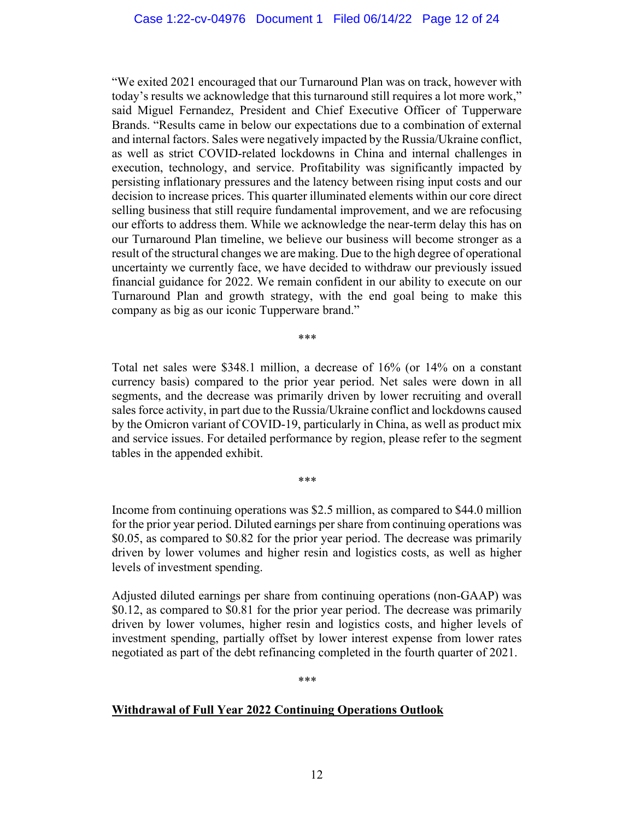"We exited 2021 encouraged that our Turnaround Plan was on track, however with today's results we acknowledge that this turnaround still requires a lot more work," said Miguel Fernandez, President and Chief Executive Officer of Tupperware Brands. "Results came in below our expectations due to a combination of external and internal factors. Sales were negatively impacted by the Russia/Ukraine conflict, as well as strict COVID-related lockdowns in China and internal challenges in execution, technology, and service. Profitability was significantly impacted by persisting inflationary pressures and the latency between rising input costs and our decision to increase prices. This quarter illuminated elements within our core direct selling business that still require fundamental improvement, and we are refocusing our efforts to address them. While we acknowledge the near-term delay this has on our Turnaround Plan timeline, we believe our business will become stronger as a result of the structural changes we are making. Due to the high degree of operational uncertainty we currently face, we have decided to withdraw our previously issued financial guidance for 2022. We remain confident in our ability to execute on our Turnaround Plan and growth strategy, with the end goal being to make this company as big as our iconic Tupperware brand."

\*\*\*

Total net sales were \$348.1 million, a decrease of 16% (or 14% on a constant currency basis) compared to the prior year period. Net sales were down in all segments, and the decrease was primarily driven by lower recruiting and overall sales force activity, in part due to the Russia/Ukraine conflict and lockdowns caused by the Omicron variant of COVID-19, particularly in China, as well as product mix and service issues. For detailed performance by region, please refer to the segment tables in the appended exhibit.

Income from continuing operations was \$2.5 million, as compared to \$44.0 million for the prior year period. Diluted earnings per share from continuing operations was \$0.05, as compared to \$0.82 for the prior year period. The decrease was primarily driven by lower volumes and higher resin and logistics costs, as well as higher levels of investment spending.

Adjusted diluted earnings per share from continuing operations (non-GAAP) was \$0.12, as compared to \$0.81 for the prior year period. The decrease was primarily driven by lower volumes, higher resin and logistics costs, and higher levels of investment spending, partially offset by lower interest expense from lower rates negotiated as part of the debt refinancing completed in the fourth quarter of 2021.

\*\*\*

# **Withdrawal of Full Year 2022 Continuing Operations Outlook**

\*\*\*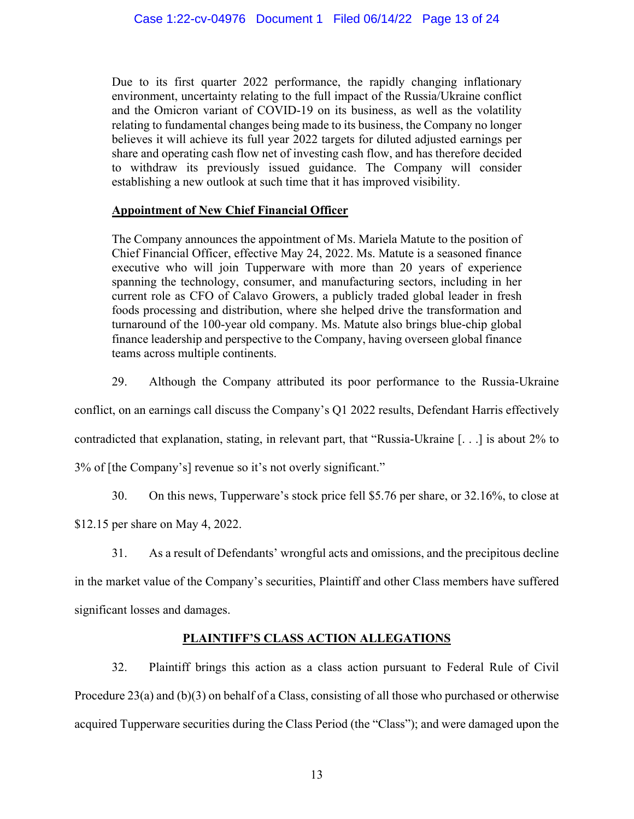Due to its first quarter 2022 performance, the rapidly changing inflationary environment, uncertainty relating to the full impact of the Russia/Ukraine conflict and the Omicron variant of COVID-19 on its business, as well as the volatility relating to fundamental changes being made to its business, the Company no longer believes it will achieve its full year 2022 targets for diluted adjusted earnings per share and operating cash flow net of investing cash flow, and has therefore decided to withdraw its previously issued guidance. The Company will consider establishing a new outlook at such time that it has improved visibility.

# **Appointment of New Chief Financial Officer**

The Company announces the appointment of Ms. Mariela Matute to the position of Chief Financial Officer, effective May 24, 2022. Ms. Matute is a seasoned finance executive who will join Tupperware with more than 20 years of experience spanning the technology, consumer, and manufacturing sectors, including in her current role as CFO of Calavo Growers, a publicly traded global leader in fresh foods processing and distribution, where she helped drive the transformation and turnaround of the 100-year old company. Ms. Matute also brings blue-chip global finance leadership and perspective to the Company, having overseen global finance teams across multiple continents.

29. Although the Company attributed its poor performance to the Russia-Ukraine

conflict, on an earnings call discuss the Company's Q1 2022 results, Defendant Harris effectively

contradicted that explanation, stating, in relevant part, that "Russia-Ukraine [. . .] is about 2% to

3% of [the Company's] revenue so it's not overly significant."

30. On this news, Tupperware's stock price fell \$5.76 per share, or 32.16%, to close at

\$12.15 per share on May 4, 2022.

31. As a result of Defendants' wrongful acts and omissions, and the precipitous decline

in the market value of the Company's securities, Plaintiff and other Class members have suffered significant losses and damages.

# **PLAINTIFF'S CLASS ACTION ALLEGATIONS**

32. Plaintiff brings this action as a class action pursuant to Federal Rule of Civil Procedure 23(a) and (b)(3) on behalf of a Class, consisting of all those who purchased or otherwise acquired Tupperware securities during the Class Period (the "Class"); and were damaged upon the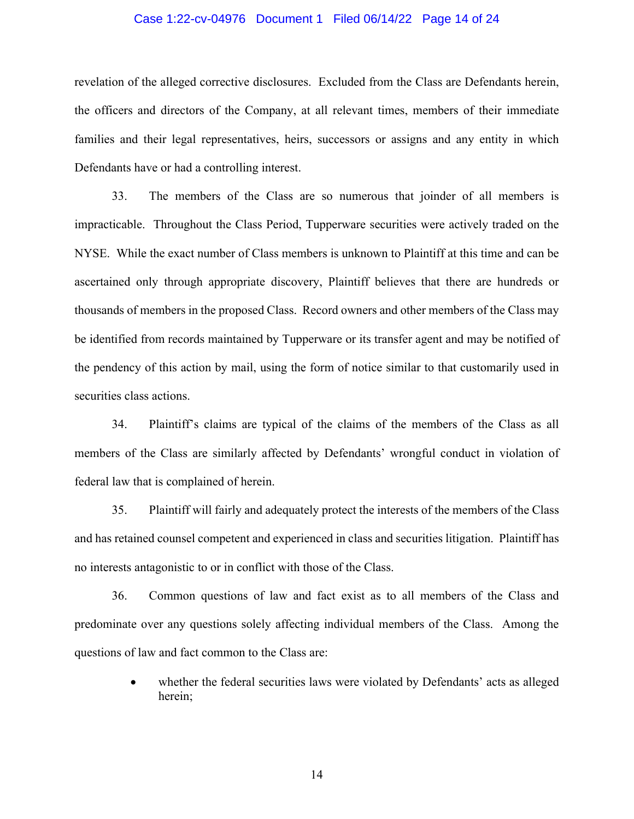### Case 1:22-cv-04976 Document 1 Filed 06/14/22 Page 14 of 24

revelation of the alleged corrective disclosures. Excluded from the Class are Defendants herein, the officers and directors of the Company, at all relevant times, members of their immediate families and their legal representatives, heirs, successors or assigns and any entity in which Defendants have or had a controlling interest.

33. The members of the Class are so numerous that joinder of all members is impracticable. Throughout the Class Period, Tupperware securities were actively traded on the NYSE. While the exact number of Class members is unknown to Plaintiff at this time and can be ascertained only through appropriate discovery, Plaintiff believes that there are hundreds or thousands of members in the proposed Class. Record owners and other members of the Class may be identified from records maintained by Tupperware or its transfer agent and may be notified of the pendency of this action by mail, using the form of notice similar to that customarily used in securities class actions.

34. Plaintiff's claims are typical of the claims of the members of the Class as all members of the Class are similarly affected by Defendants' wrongful conduct in violation of federal law that is complained of herein.

35. Plaintiff will fairly and adequately protect the interests of the members of the Class and has retained counsel competent and experienced in class and securities litigation. Plaintiff has no interests antagonistic to or in conflict with those of the Class.

36. Common questions of law and fact exist as to all members of the Class and predominate over any questions solely affecting individual members of the Class. Among the questions of law and fact common to the Class are:

> whether the federal securities laws were violated by Defendants' acts as alleged herein;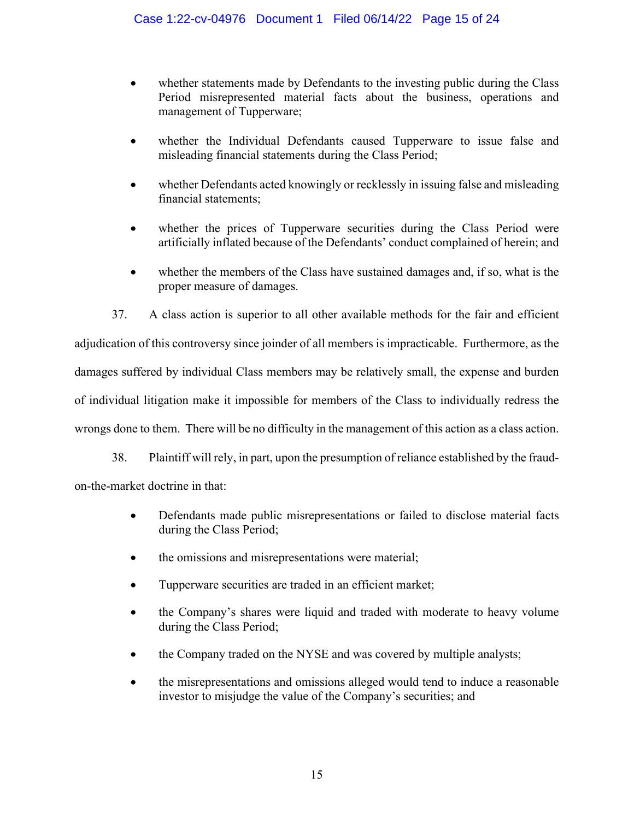- whether statements made by Defendants to the investing public during the Class Period misrepresented material facts about the business, operations and management of Tupperware;
- whether the Individual Defendants caused Tupperware to issue false and misleading financial statements during the Class Period;
- whether Defendants acted knowingly or recklessly in issuing false and misleading financial statements;
- whether the prices of Tupperware securities during the Class Period were artificially inflated because of the Defendants' conduct complained of herein; and
- whether the members of the Class have sustained damages and, if so, what is the proper measure of damages.

37. A class action is superior to all other available methods for the fair and efficient adjudication of this controversy since joinder of all members is impracticable. Furthermore, as the damages suffered by individual Class members may be relatively small, the expense and burden of individual litigation make it impossible for members of the Class to individually redress the wrongs done to them. There will be no difficulty in the management of this action as a class action.

38. Plaintiff will rely, in part, upon the presumption of reliance established by the fraudon-the-market doctrine in that:

- Defendants made public misrepresentations or failed to disclose material facts during the Class Period;
- the omissions and misrepresentations were material;
- Tupperware securities are traded in an efficient market;
- the Company's shares were liquid and traded with moderate to heavy volume during the Class Period;
- the Company traded on the NYSE and was covered by multiple analysts;
- the misrepresentations and omissions alleged would tend to induce a reasonable investor to misjudge the value of the Company's securities; and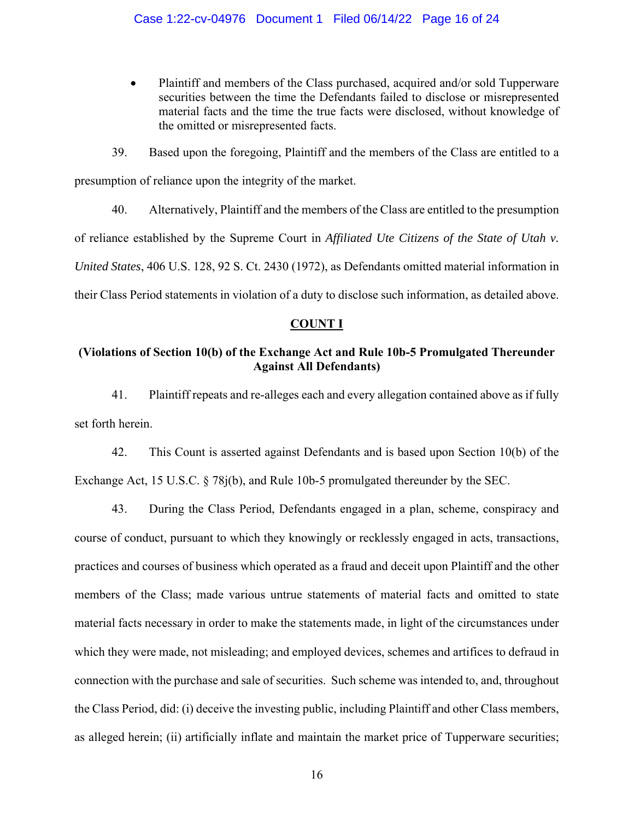Plaintiff and members of the Class purchased, acquired and/or sold Tupperware securities between the time the Defendants failed to disclose or misrepresented material facts and the time the true facts were disclosed, without knowledge of the omitted or misrepresented facts.

39. Based upon the foregoing, Plaintiff and the members of the Class are entitled to a presumption of reliance upon the integrity of the market.

40. Alternatively, Plaintiff and the members of the Class are entitled to the presumption of reliance established by the Supreme Court in *Affiliated Ute Citizens of the State of Utah v. United States*, 406 U.S. 128, 92 S. Ct. 2430 (1972), as Defendants omitted material information in their Class Period statements in violation of a duty to disclose such information, as detailed above.

# **COUNT I**

# **(Violations of Section 10(b) of the Exchange Act and Rule 10b-5 Promulgated Thereunder Against All Defendants)**

41. Plaintiff repeats and re-alleges each and every allegation contained above as if fully set forth herein.

42. This Count is asserted against Defendants and is based upon Section 10(b) of the Exchange Act, 15 U.S.C. § 78j(b), and Rule 10b-5 promulgated thereunder by the SEC.

43. During the Class Period, Defendants engaged in a plan, scheme, conspiracy and course of conduct, pursuant to which they knowingly or recklessly engaged in acts, transactions, practices and courses of business which operated as a fraud and deceit upon Plaintiff and the other members of the Class; made various untrue statements of material facts and omitted to state material facts necessary in order to make the statements made, in light of the circumstances under which they were made, not misleading; and employed devices, schemes and artifices to defraud in connection with the purchase and sale of securities. Such scheme was intended to, and, throughout the Class Period, did: (i) deceive the investing public, including Plaintiff and other Class members, as alleged herein; (ii) artificially inflate and maintain the market price of Tupperware securities;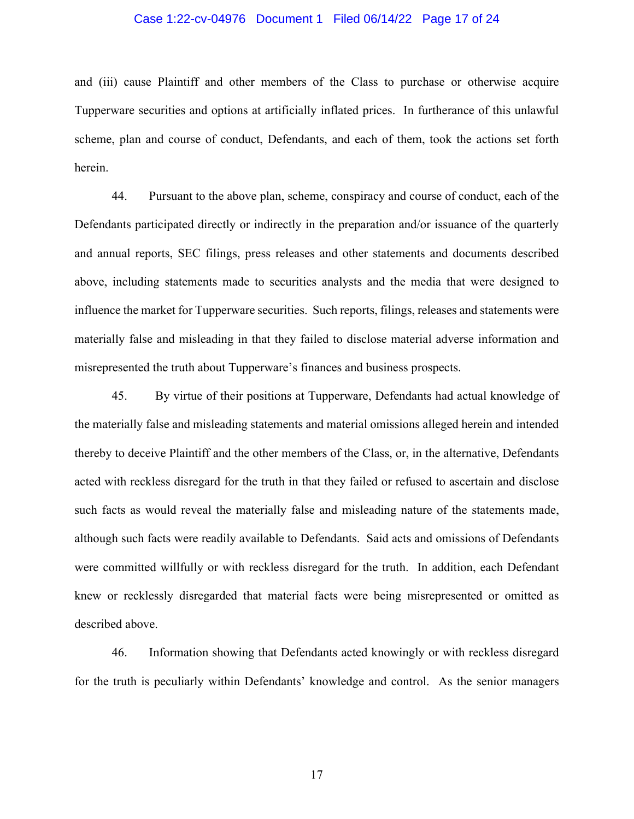### Case 1:22-cv-04976 Document 1 Filed 06/14/22 Page 17 of 24

and (iii) cause Plaintiff and other members of the Class to purchase or otherwise acquire Tupperware securities and options at artificially inflated prices. In furtherance of this unlawful scheme, plan and course of conduct, Defendants, and each of them, took the actions set forth herein.

44. Pursuant to the above plan, scheme, conspiracy and course of conduct, each of the Defendants participated directly or indirectly in the preparation and/or issuance of the quarterly and annual reports, SEC filings, press releases and other statements and documents described above, including statements made to securities analysts and the media that were designed to influence the market for Tupperware securities. Such reports, filings, releases and statements were materially false and misleading in that they failed to disclose material adverse information and misrepresented the truth about Tupperware's finances and business prospects.

45. By virtue of their positions at Tupperware, Defendants had actual knowledge of the materially false and misleading statements and material omissions alleged herein and intended thereby to deceive Plaintiff and the other members of the Class, or, in the alternative, Defendants acted with reckless disregard for the truth in that they failed or refused to ascertain and disclose such facts as would reveal the materially false and misleading nature of the statements made, although such facts were readily available to Defendants. Said acts and omissions of Defendants were committed willfully or with reckless disregard for the truth. In addition, each Defendant knew or recklessly disregarded that material facts were being misrepresented or omitted as described above.

46. Information showing that Defendants acted knowingly or with reckless disregard for the truth is peculiarly within Defendants' knowledge and control. As the senior managers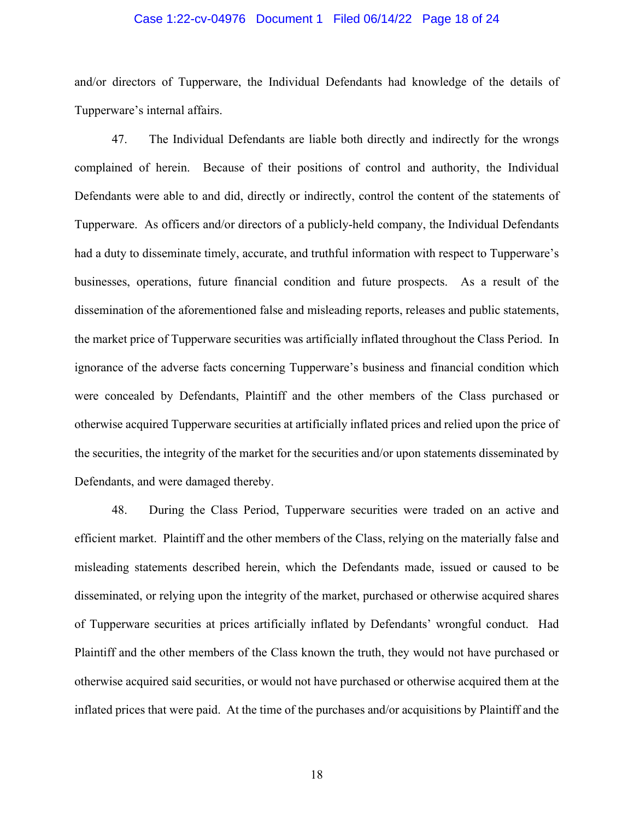### Case 1:22-cv-04976 Document 1 Filed 06/14/22 Page 18 of 24

and/or directors of Tupperware, the Individual Defendants had knowledge of the details of Tupperware's internal affairs.

47. The Individual Defendants are liable both directly and indirectly for the wrongs complained of herein. Because of their positions of control and authority, the Individual Defendants were able to and did, directly or indirectly, control the content of the statements of Tupperware. As officers and/or directors of a publicly-held company, the Individual Defendants had a duty to disseminate timely, accurate, and truthful information with respect to Tupperware's businesses, operations, future financial condition and future prospects. As a result of the dissemination of the aforementioned false and misleading reports, releases and public statements, the market price of Tupperware securities was artificially inflated throughout the Class Period. In ignorance of the adverse facts concerning Tupperware's business and financial condition which were concealed by Defendants, Plaintiff and the other members of the Class purchased or otherwise acquired Tupperware securities at artificially inflated prices and relied upon the price of the securities, the integrity of the market for the securities and/or upon statements disseminated by Defendants, and were damaged thereby.

48. During the Class Period, Tupperware securities were traded on an active and efficient market. Plaintiff and the other members of the Class, relying on the materially false and misleading statements described herein, which the Defendants made, issued or caused to be disseminated, or relying upon the integrity of the market, purchased or otherwise acquired shares of Tupperware securities at prices artificially inflated by Defendants' wrongful conduct. Had Plaintiff and the other members of the Class known the truth, they would not have purchased or otherwise acquired said securities, or would not have purchased or otherwise acquired them at the inflated prices that were paid. At the time of the purchases and/or acquisitions by Plaintiff and the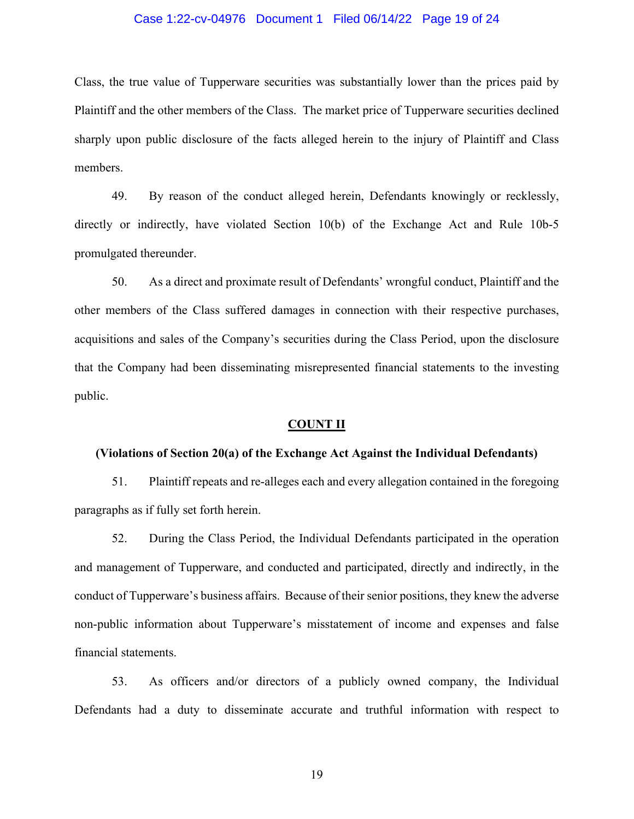### Case 1:22-cv-04976 Document 1 Filed 06/14/22 Page 19 of 24

Class, the true value of Tupperware securities was substantially lower than the prices paid by Plaintiff and the other members of the Class. The market price of Tupperware securities declined sharply upon public disclosure of the facts alleged herein to the injury of Plaintiff and Class members.

49. By reason of the conduct alleged herein, Defendants knowingly or recklessly, directly or indirectly, have violated Section 10(b) of the Exchange Act and Rule 10b-5 promulgated thereunder.

50. As a direct and proximate result of Defendants' wrongful conduct, Plaintiff and the other members of the Class suffered damages in connection with their respective purchases, acquisitions and sales of the Company's securities during the Class Period, upon the disclosure that the Company had been disseminating misrepresented financial statements to the investing public.

#### **COUNT II**

#### **(Violations of Section 20(a) of the Exchange Act Against the Individual Defendants)**

51. Plaintiff repeats and re-alleges each and every allegation contained in the foregoing paragraphs as if fully set forth herein.

52. During the Class Period, the Individual Defendants participated in the operation and management of Tupperware, and conducted and participated, directly and indirectly, in the conduct of Tupperware's business affairs. Because of their senior positions, they knew the adverse non-public information about Tupperware's misstatement of income and expenses and false financial statements.

53. As officers and/or directors of a publicly owned company, the Individual Defendants had a duty to disseminate accurate and truthful information with respect to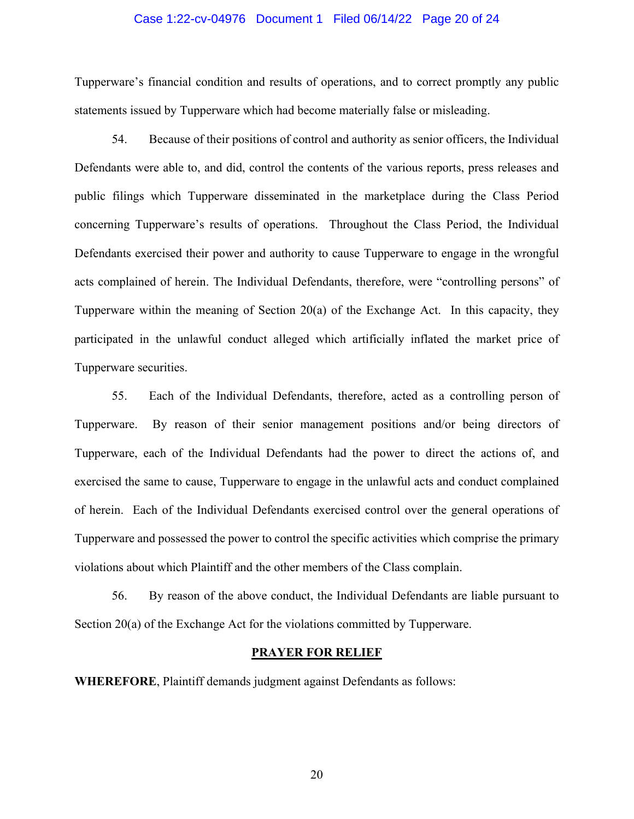#### Case 1:22-cv-04976 Document 1 Filed 06/14/22 Page 20 of 24

Tupperware's financial condition and results of operations, and to correct promptly any public statements issued by Tupperware which had become materially false or misleading.

54. Because of their positions of control and authority as senior officers, the Individual Defendants were able to, and did, control the contents of the various reports, press releases and public filings which Tupperware disseminated in the marketplace during the Class Period concerning Tupperware's results of operations. Throughout the Class Period, the Individual Defendants exercised their power and authority to cause Tupperware to engage in the wrongful acts complained of herein. The Individual Defendants, therefore, were "controlling persons" of Tupperware within the meaning of Section 20(a) of the Exchange Act. In this capacity, they participated in the unlawful conduct alleged which artificially inflated the market price of Tupperware securities.

55. Each of the Individual Defendants, therefore, acted as a controlling person of Tupperware. By reason of their senior management positions and/or being directors of Tupperware, each of the Individual Defendants had the power to direct the actions of, and exercised the same to cause, Tupperware to engage in the unlawful acts and conduct complained of herein. Each of the Individual Defendants exercised control over the general operations of Tupperware and possessed the power to control the specific activities which comprise the primary violations about which Plaintiff and the other members of the Class complain.

56. By reason of the above conduct, the Individual Defendants are liable pursuant to Section 20(a) of the Exchange Act for the violations committed by Tupperware.

#### **PRAYER FOR RELIEF**

**WHEREFORE**, Plaintiff demands judgment against Defendants as follows: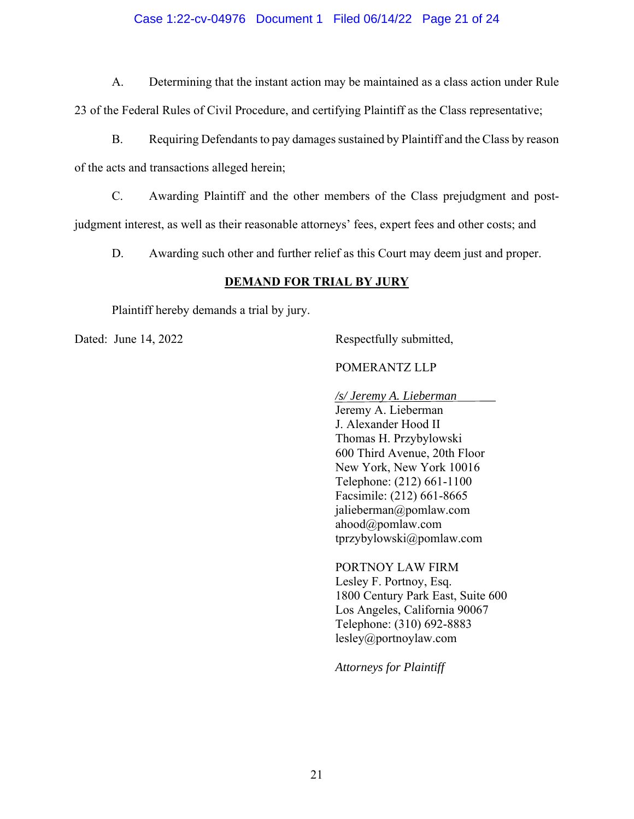# Case 1:22-cv-04976 Document 1 Filed 06/14/22 Page 21 of 24

A. Determining that the instant action may be maintained as a class action under Rule 23 of the Federal Rules of Civil Procedure, and certifying Plaintiff as the Class representative;

B. Requiring Defendants to pay damages sustained by Plaintiff and the Class by reason of the acts and transactions alleged herein;

C. Awarding Plaintiff and the other members of the Class prejudgment and postjudgment interest, as well as their reasonable attorneys' fees, expert fees and other costs; and

D. Awarding such other and further relief as this Court may deem just and proper.

# **DEMAND FOR TRIAL BY JURY**

Plaintiff hereby demands a trial by jury.

Dated: June 14, 2022 Respectfully submitted,

## POMERANTZ LLP

*/s/ Jeremy A. Lieberman* 

Jeremy A. Lieberman J. Alexander Hood II Thomas H. Przybylowski 600 Third Avenue, 20th Floor New York, New York 10016 Telephone: (212) 661-1100 Facsimile: (212) 661-8665 jalieberman@pomlaw.com ahood@pomlaw.com tprzybylowski@pomlaw.com

PORTNOY LAW FIRM Lesley F. Portnoy, Esq. 1800 Century Park East, Suite 600 Los Angeles, California 90067 Telephone: (310) 692-8883 lesley@portnoylaw.com

*Attorneys for Plaintiff*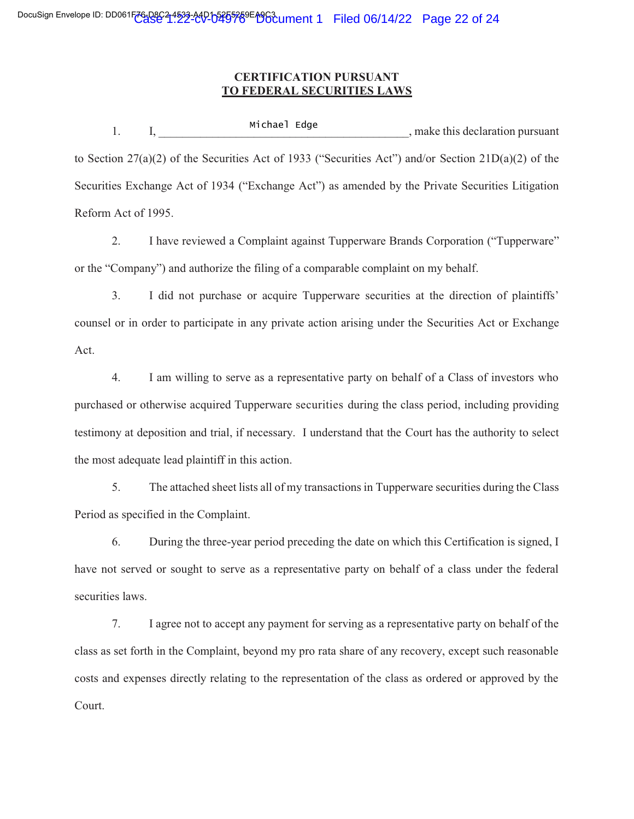# **CERTIFICATION PURSUANT TO FEDERAL SECURITIES LAWS**

1. I, Eliater Euge 1, make this declaration pursuant to Section 27(a)(2) of the Securities Act of 1933 ("Securities Act") and/or Section 21D(a)(2) of the Securities Exchange Act of 1934 ("Exchange Act") as amended by the Private Securities Litigation Reform Act of 1995. Michael Edge

2. I have reviewed a Complaint against Tupperware Brands Corporation ("Tupperware" or the "Company") and authorize the filing of a comparable complaint on my behalf.

3. I did not purchase or acquire Tupperware securities at the direction of plaintiffs' counsel or in order to participate in any private action arising under the Securities Act or Exchange Act.

4. I am willing to serve as a representative party on behalf of a Class of investors who purchased or otherwise acquired Tupperware securities during the class period, including providing testimony at deposition and trial, if necessary. I understand that the Court has the authority to select the most adequate lead plaintiff in this action.

5. The attached sheet lists all of my transactions in Tupperware securities during the Class Period as specified in the Complaint.

6. During the three-year period preceding the date on which this Certification is signed, I have not served or sought to serve as a representative party on behalf of a class under the federal securities laws.

7. I agree not to accept any payment for serving as a representative party on behalf of the class as set forth in the Complaint, beyond my pro rata share of any recovery, except such reasonable costs and expenses directly relating to the representation of the class as ordered or approved by the Court.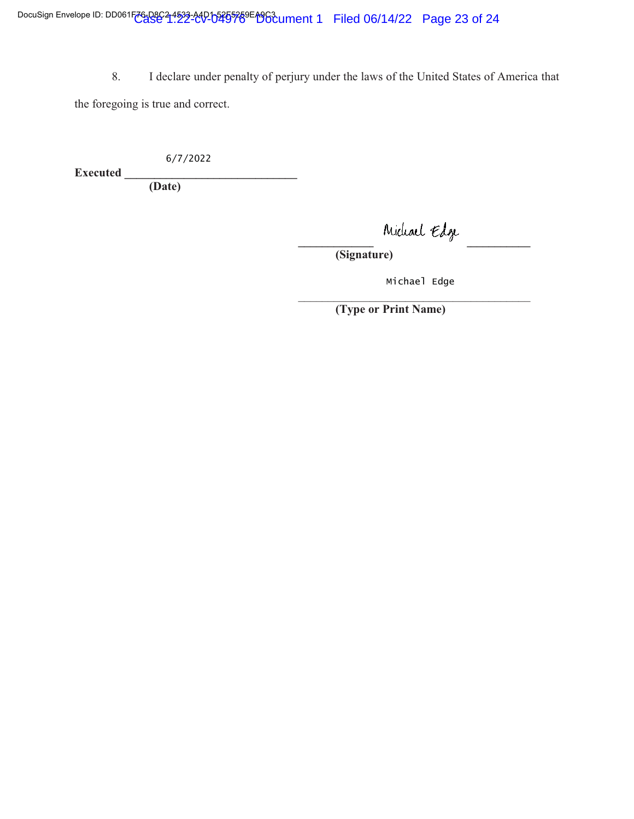8. I declare under penalty of perjury under the laws of the United States of America that the foregoing is true and correct.

 $6/7/2022$ 

**Executed \_\_\_\_\_\_\_\_\_\_\_\_\_\_\_\_\_\_\_\_\_\_\_\_\_\_\_\_\_\_\_\_** 

**(Date)** 

 ${ \scriptstyle \mathsf{middle}}$ 

**(Signature)** 

Michael Edge

 $\frac{1}{2}$  , and the contract of the contract of the contract of the contract of the contract of the contract of the contract of the contract of the contract of the contract of the contract of the contract of the contract **(Type or Print Name)**